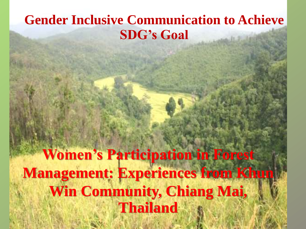#### **Gender Inclusive Communication to Achieve SDG's Goal**

**Women's Participation in Forest Management: Experiences from Khun Win Community, Chiang Mai, Thailand**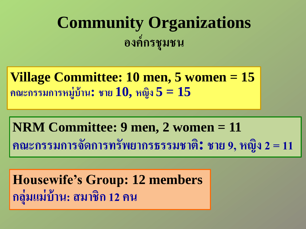#### **Community Organizations องค กรช มชน ์ ุ**

**Village Committee: 10 men, 5 women = 15 คณะกรรมการหม ู บ ้ าน: ชาย 10, หญิง 5 = 15 ่**

**NRM Committee: 9 men, 2 women = 11 คณะกรรมการจัดการทรัพยากรธรรมชาติ: ชาย 9, หญิง 2= 11**

**Housewife's Group: 12 members กล มแม บ ้ าน: สมาชิก 12 คน่ ุ ่**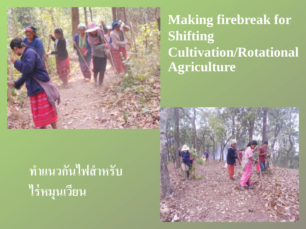

#### **Making firebreak for Shifting Cultivation/Rotational Agriculture**

# ทำแนวกันไฟสำหรับ ไร่หมูนเวียน

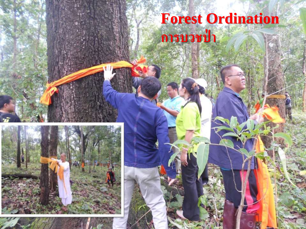### **Forest Ordination การบวชป่า**

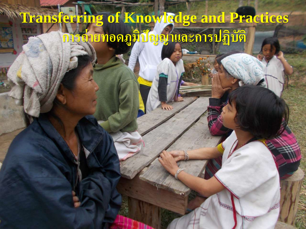## Transferring of Knowledge and Practices การถ่ายทอดภูมิปัญญาและการปฏิบัติ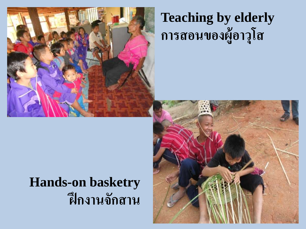

#### **Teaching by elderly** การสอนของผู้อาวุโส

#### **Hands-on basketry** ฝึกงานจักสาน

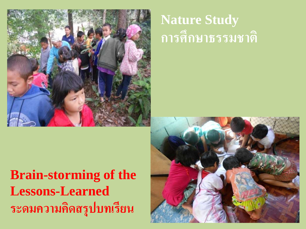

#### **Nature Study** การศึกษาธรรมชาติ

#### **Brain-storming of the Lessons-Learned** ระดมความคิดสรุปบทเรียน

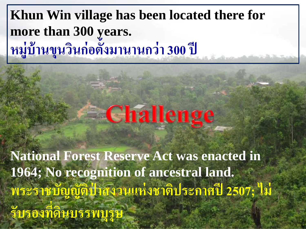#### **Khun Win village has been located there for more than 300 years. หม ู บ ้ านข นวนก่อ ิ ตั้งมานานกว่า 300 ปี ่ ุ**

# **Echallenge**

**National Forest Reserve Act was enacted in 1964; No recognition of ancestral land. พระราชบัญญัติป่ าสงวนแห่งชาติประกาศปี 2507; ไม่ รับรองที่ดินบรรพบ ร ษ1 PRESS**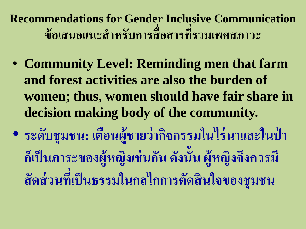**Recommendations for Gender Inclusive Communication ข้อเสนอแนะส าหรับการสื่อสารที่รวมเพศสภาวะ**

- **Community Level: Reminding men that farm and forest activities are also the burden of women; thus, women should have fair share in decision making body of the community.**
- **ระดบ ั ช มชน: เตอ ื นผ ้ ูชายว ากจ ิ กรรมในไร นาและในป่ า ุ ่ ่ กเ ็ป็ นภาระของผ ้ ู หญ ิ งเช นกน ั ดง ัน ้ ั น ผ ้ ู หญิงจึงควรมี ่ ส ั ดส วนทเ ี ป็ นธรรมในกลไกการตด ั ส ิ นใจของช มชน่ ่ ุ**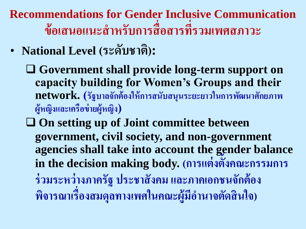**Recommendations for Gender Inclusive Communication ข้อเสนอแนะส าหรับการสื่อสารที่รวมเพศสภาวะ**

- **National Level (ระดับชาติ):**
	- **Government shall provide long-term support on capacity building for Women's Groups and their network. (ร ั ฐบาลจ ั กต ้ องให ้ การสน ั บสน นระยะยาวในการพัฒนาศักยภาพ ุ ผ ้ ูหญ ิ งและเคร ื อข ายผ ้ ูหญ ิ ง) ่**
	- **On setting up of Joint committee between government, civil society, and non-government agencies shall take into account the gender balance in the decision making body. (การแต่งตั้งคณะกรรมการ ร่วมระหว่างภาครัฐ ประชาสังคม และภาคเอกชนจักต้อง พจ ิ ารณาเร ื องสมด ลทางเพศในคณะผ ้ ู ม ี อา นาจตด ั ส ิ นใจ) ่ ุ**